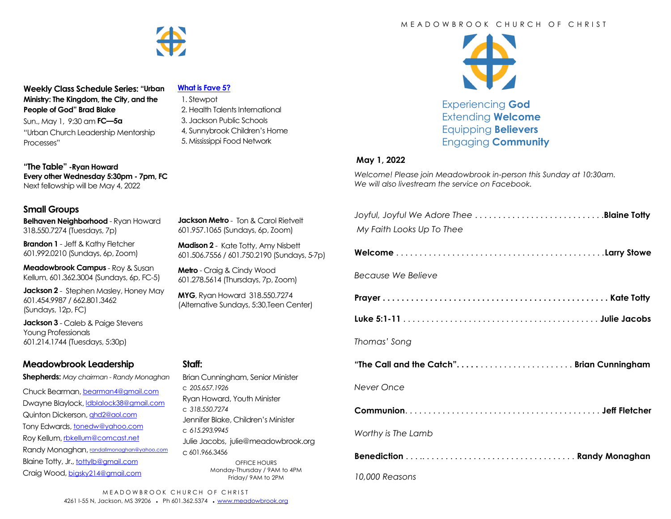

**Weekly Class Schedule Series: "Urban Ministry: The Kingdom, the City, and the People of God" Brad Blake**

Sun., May 1, 9:30 am **FC—5a** "Urban Church Leadership Mentorship Processes"

**"The Table" -Ryan Howard Every other Wednesday 5:30pm - 7pm, FC** Next fellowship will be May 4, 2022

### **Small Groups**

**Belhaven Neighborhood** - Ryan Howard 318.550.7274 (Tuesdays, 7p)

**Brandon 1** - Jeff & Kathy Fletcher 601.992.0210 (Sundays, 6p, Zoom)

**Meadowbrook Campus** - Roy & Susan Kellum, 601.362.3004 (Sundays, 6p, FC-5)

**Jackson 2** - Stephen Masley, Honey May 601.454.9987 / 662.801.3462 (Sundays, 12p, FC)

**Jackson 3** - Caleb & Paige Stevens Young Professionals 601.214.1744 (Tuesdays, 5:30p)

## **Meadowbrook Leadership**

**Shepherds:** *May chairman - Randy Monaghan*

Chuck Bearman, [bearman4@gmail.com](mailto:bearman4@gmail.com) Dwayne Blaylock, *dblalock38@gmail.com* Quinton Dickerson, [qhd2@aol.com](mailto:qhd2@aol.com) Tony Edwards, [tonedw@yahoo.com](mailto:tonedw@yahoo.com) Roy Kellum, [rbkellum@comcast.net](mailto:rbkellum@comcast.net) Randy Monaghan, [randallmonaghan@yahoo.com](mailto:randallmonaghan@yahoo.com) Blaine Totty, Jr., [tottylb@gmail.com](mailto:tottylb@gmail.com) Craig Wood, [bigsky214@gmail.com](mailto:bigsky214@gmail.com)

#### **[What is Fave 5?](https://meadowbrook.ccbchurch.com/group_detail.php?group_id=131)**

 1. Stewpot 2. Health Talents International 3. Jackson Public Schools 4, Sunnybrook Children's Home 5. Mississippi Food Network

**Jackson Metro** - Ton & Carol Rietvelt 601.957.1065 (Sundays, 6p, Zoom) **Madison 2** - Kate Totty, Amy Nisbett 601.506.7556 / 601.750.2190 (Sundays, 5-7p)

Brian Cunningham, Senior Minister

Jennifer Blake, Children's Minister

Julie Jacobs, julie@meadowbrook.org

OFFICE HOURS Monday-Thursday / 9AM to 4PM Friday/ 9AM to 2PM

Ryan Howard, Youth Minister

**Metro** - Craig & Cindy Wood 601.278.5614 (Thursdays, 7p, Zoom) **MYG**, Ryan Howard 318.550.7274 (Alternative Sundays, 5:30,Teen Center)

## M F A D O W B R O O K C H U R C H O F C H R I S T



Experiencing **God** Extending **Welcome** Equipping **Believers** Engaging **Community**

### **May 1, 2022**

*Welcome! Please join Meadowbrook in-person this Sunday at 10:30am. We will also livestream the service on Facebook.*

| My Faith Looks Up To Thee                |
|------------------------------------------|
|                                          |
| Because We Believe                       |
|                                          |
|                                          |
| Thomas' Song                             |
| "The Call and the Catch"Brian Cunningham |
| Never Once                               |
|                                          |
| Worthy is The Lamb                       |
|                                          |
| 10,000 Reasons                           |

MEADOWBROOK CHURCH OF CHRIST 4261 I-55 N, Jackson, MS 39206 • Ph 601.362.5374 • [www.meadowbrook.org](mailto:www.meadowbrook.org)

**Staff:** 

c *205.657.1926*

c *318.550.7274*

c *615.293.9945*

c 601.966.3456